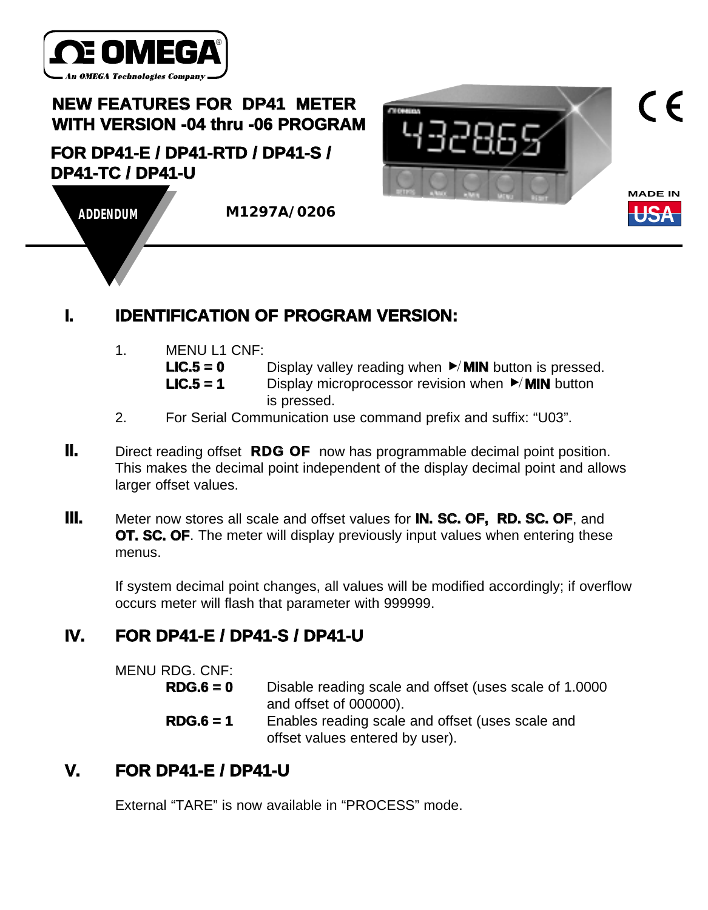

# **NEW FEATURES FOR** Ò**DP41**Ó **METER WITH VERSION -04 thru -06 PROGRAM**

#### **FOR DP41-E / DP41-RTD / DP41-S / DP41-TC / DP41-U**





 $\epsilon$ 

**ADDENDUM M1297A/0206**

## **I. IDENTIFICATION OF PROGRAM VERSION:**

1. MENU L1 CNF:

**LIC.5 = 0** Display valley reading when ►/MIN button is pressed.

**LIC.5 = 1** Display microprocessor revision when ▶ MIN button is pressed.

- 2. For Serial Communication use command prefix and suffix: "U03".
- **II.** Direct reading offset **RDG OF** now has programmable decimal point position. This makes the decimal point independent of the display decimal point and allows larger offset values.
- **III.** Meter now stores all scale and offset values for **IN. SC. OF, RD. SC. OF**, and **OT. SC. OF.** The meter will display previously input values when entering these menus.

If system decimal point changes, all values will be modified accordingly; if overflow occurs meter will flash that parameter with 999999.

## **IV. FOR DP41-E / DP41-S / DP41-U**

MENU RDG. CNF:

- **RDG.6 = 0** Disable reading scale and offset (uses scale of 1.0000 and offset of 000000).
- **RDG.6 = 1** Enables reading scale and offset (uses scale and offset values entered by user).

### **V. FOR DP41-E / DP41-U**

External "TARE" is now available in "PROCESS" mode.